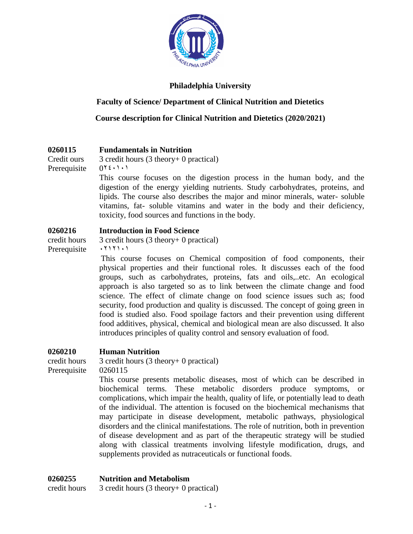

### **Philadelphia University**

### **Faculty of Science/ Department of Clinical Nutrition and Dietetics**

**Course description for Clinical Nutrition and Dietetics (2020/2021)**

### **0260115 Fundamentals in Nutrition**

Credit ours 3 credit hours (3 theory+ 0 practical) Prerequisite  $0^{\gamma \xi \cdot 1 \cdot 1}$ 

> This course focuses on the digestion process in the human body, and the digestion of the energy yielding nutrients. Study carbohydrates, proteins, and lipids. The course also describes the major and minor minerals, water- soluble vitamins, fat- soluble vitamins and water in the body and their deficiency, toxicity, food sources and functions in the body.

#### **0260216 Introduction in Food Science**

credit hours 3 credit hours (3 theory+ 0 practical) Prerequisite  $\cdot$   $\cdot$   $\cdot$   $\cdot$   $\cdot$   $\cdot$   $\cdot$ 

> This course focuses on Chemical composition of food components, their physical properties and their functional roles. It discusses each of the food groups, such as carbohydrates, proteins, fats and oils,..etc. An ecological approach is also targeted so as to link between the climate change and food science. The effect of climate change on food science issues such as; food security, food production and quality is discussed. The concept of going green in food is studied also. Food spoilage factors and their prevention using different food additives, physical, chemical and biological mean are also discussed. It also introduces principles of quality control and sensory evaluation of food.

### **0260210 Human Nutrition**

Prerequisite 0260115

credit hours 3 credit hours (3 theory+ 0 practical)

This course presents metabolic diseases, most of which can be described in biochemical terms. These metabolic disorders produce symptoms, or complications, which impair the health, quality of life, or potentially lead to death of the individual. The attention is focused on the biochemical mechanisms that may participate in disease development, metabolic pathways, physiological disorders and the clinical manifestations. The role of nutrition, both in prevention of disease development and as part of the therapeutic strategy will be studied along with classical treatments involving lifestyle modification, drugs, and supplements provided as nutraceuticals or functional foods.

### **0260255 Nutrition and Metabolism**

credit hours 3 credit hours (3 theory+ 0 practical)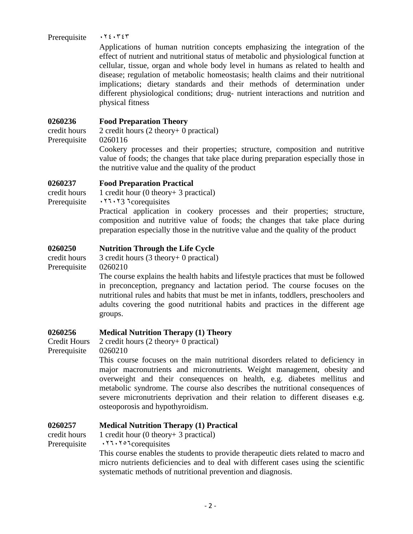#### Prerequisite 0240343

Applications of human nutrition concepts emphasizing the integration of the effect of nutrient and nutritional status of metabolic and physiological function at cellular, tissue, organ and whole body level in humans as related to health and disease; regulation of metabolic homeostasis; health claims and their nutritional implications; dietary standards and their methods of determination under different physiological conditions; drug- nutrient interactions and nutrition and physical fitness

#### **0260236 Food Preparation Theory**

credit hours 2 credit hours (2 theory+ 0 practical) Prerequisite 0260116

Cookery processes and their properties; structure, composition and nutritive value of foods; the changes that take place during preparation especially those in the nutritive value and the quality of the product

#### **0260237 Food Preparation Practical**

credit hours  $1$  credit hour (0 theory + 3 practical) Prerequisite 026023 6corequisites

> Practical application in cookery processes and their properties; structure, composition and nutritive value of foods; the changes that take place during preparation especially those in the nutritive value and the quality of the product

### **0260250 Nutrition Through the Life Cycle**

credit hours 3 credit hours (3 theory+ 0 practical) Prerequisite 0260210

> The course explains the health habits and lifestyle practices that must be followed in preconception, pregnancy and lactation period. The course focuses on the nutritional rules and habits that must be met in infants, toddlers, preschoolers and adults covering the good nutritional habits and practices in the different age groups.

#### **0260256 Medical Nutrition Therapy (1) Theory** 2 credit hours (2 theory+ 0 practical)

Credit Hours Prerequisite 0260210

> This course focuses on the main nutritional disorders related to deficiency in major macronutrients and micronutrients. Weight management, obesity and overweight and their consequences on health, e.g. diabetes mellitus and metabolic syndrome. The course also describes the nutritional consequences of severe micronutrients deprivation and their relation to different diseases e.g. osteoporosis and hypothyroidism.

### **0260257 Medical Nutrition Therapy (1) Practical**

credit hours  $1$  credit hour (0 theory + 3 practical)

Prerequisite 0260256corequisites

This course enables the students to provide therapeutic diets related to macro and micro nutrients deficiencies and to deal with different cases using the scientific systematic methods of nutritional prevention and diagnosis.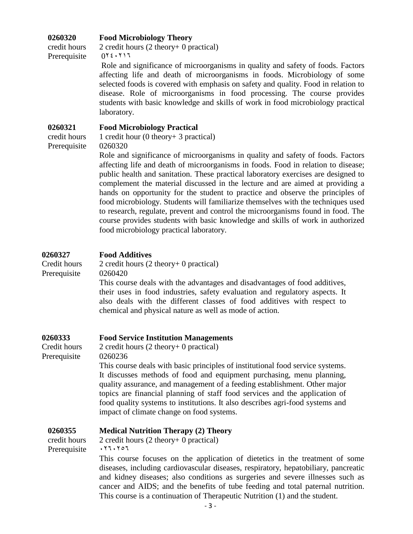# **0260320 Food Microbiology Theory**

credit hours 2 credit hours (2 theory+ 0 practical) Prerequisite  $0^{\gamma} \xi \cdot \zeta$ 

> Role and significance of microorganisms in quality and safety of foods. Factors affecting life and death of microorganisms in foods. Microbiology of some selected foods is covered with emphasis on safety and quality. Food in relation to disease. Role of microorganisms in food processing. The course provides students with basic knowledge and skills of work in food microbiology practical laboratory.

### **0260321 Food Microbiology Practical**

Prerequisite 0260320

credit hours 1 credit hour (0 theory+ 3 practical)

Role and significance of microorganisms in quality and safety of foods. Factors affecting life and death of microorganisms in foods. Food in relation to disease; public health and sanitation. These practical laboratory exercises are designed to complement the material discussed in the lecture and are aimed at providing a hands on opportunity for the student to practice and observe the principles of food microbiology. Students will familiarize themselves with the techniques used to research, regulate, prevent and control the microorganisms found in food. The course provides students with basic knowledge and skills of work in authorized food microbiology practical laboratory.

#### **0260327 Food Additives**

| Credit hours | 2 credit hours $(2$ theory+ 0 practical)                                    |
|--------------|-----------------------------------------------------------------------------|
| Prerequisite | 0260420                                                                     |
|              | This course deals with the advantages and disadvantages of food additives,  |
|              | their uses in food industries, safety evaluation and regulatory aspects. It |
|              | also deals with the different classes of food additives with respect to     |
|              | chemical and physical nature as well as mode of action.                     |

#### **0260333 Food Service Institution Managements**

Credit hours Prerequisite 2 credit hours (2 theory+ 0 practical) 0260236

> This course deals with basic principles of institutional food service systems. It discusses methods of food and equipment purchasing, menu planning, quality assurance, and management of a feeding establishment. Other major topics are financial planning of staff food services and the application of food quality systems to institutions. It also describes agri-food systems and impact of climate change on food systems.

### **0260355 Medical Nutrition Therapy (2) Theory**

| credit hours | 2 credit hours $(2$ theory+ 0 practical)                                            |
|--------------|-------------------------------------------------------------------------------------|
| Prerequisite | .77.707                                                                             |
|              | This course focuses on the application of dietetics in the treatment of some        |
|              | diseases, including cardiovascular diseases, respiratory, hepatobiliary, pancreatic |
|              | and kidney diseases; also conditions as surgeries and severe illnesses such as      |
|              | cancer and AIDS; and the benefits of tube feeding and total paternal nutrition.     |
|              | This course is a continuation of Therapeutic Nutrition (1) and the student.         |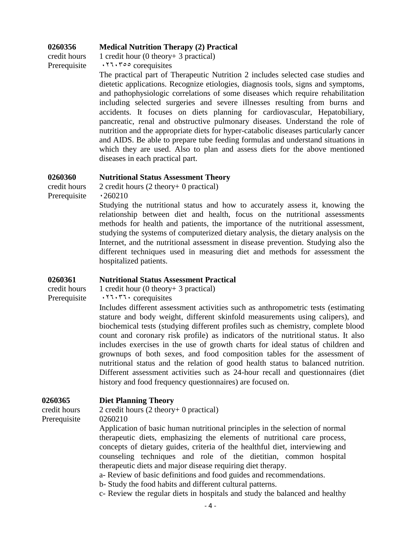#### **0260356 Medical Nutrition Therapy (2) Practical**

credit hours  $1$  credit hour (0 theory + 3 practical)

Prerequisite 0260355 corequisites

The practical part of Therapeutic Nutrition 2 includes selected case studies and dietetic applications. Recognize etiologies, diagnosis tools, signs and symptoms, and pathophysiologic correlations of some diseases which require rehabilitation including selected surgeries and severe illnesses resulting from burns and accidents. It focuses on diets planning for cardiovascular, Hepatobiliary, pancreatic, renal and obstructive pulmonary diseases. Understand the role of nutrition and the appropriate diets for hyper-catabolic diseases particularly cancer and AIDS. Be able to prepare tube feeding formulas and understand situations in which they are used. Also to plan and assess diets for the above mentioned diseases in each practical part.

#### **0260360 Nutritional Status Assessment Theory**

credit hours 2 credit hours (2 theory+ 0 practical) Prerequisite  $\cdot$  260210

Studying the nutritional status and how to accurately assess it, knowing the relationship between diet and health, focus on the nutritional assessments methods for health and patients, the importance of the nutritional assessment, studying the systems of computerized dietary analysis, the dietary analysis on the Internet, and the nutritional assessment in disease prevention. Studying also the different techniques used in measuring diet and methods for assessment the hospitalized patients.

### **0260361 Nutritional Status Assessment Practical**

# credit hours  $1$  credit hour (0 theory + 3 practical)

Prerequisite 0260360 corequisites

Includes different assessment activities such as anthropometric tests (estimating stature and body weight, different skinfold measurements using calipers), and biochemical tests (studying different profiles such as chemistry, complete blood count and coronary risk profile) as indicators of the nutritional status. It also includes exercises in the use of growth charts for ideal status of children and grownups of both sexes, and food composition tables for the assessment of nutritional status and the relation of good health status to balanced nutrition. Different assessment activities such as 24-hour recall and questionnaires (diet history and food frequency questionnaires) are focused on.

### **0260365 Diet Planning Theory**

credit hours 2 credit hours (2 theory+ 0 practical)

Prerequisite 0260210

Application of basic human nutritional principles in the selection of normal therapeutic diets, emphasizing the elements of nutritional care process, concepts of dietary guides, criteria of the healthful diet, interviewing and counseling techniques and role of the dietitian, common hospital therapeutic diets and major disease requiring diet therapy.

a- Review of basic definitions and food guides and recommendations.

b- Study the food habits and different cultural patterns.

c- Review the regular diets in hospitals and study the balanced and healthy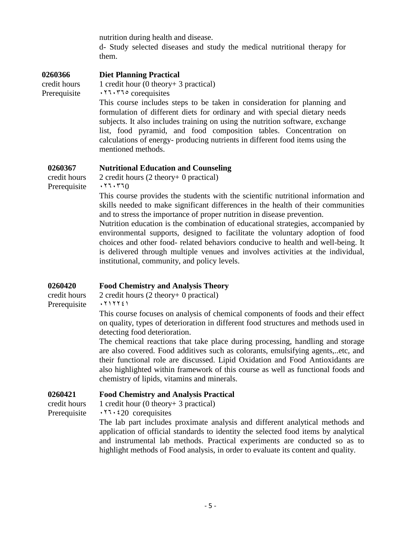nutrition during health and disease.

d- Study selected diseases and study the medical nutritional therapy for them.

| 1 credit hour $(0$ theory + 3 practical)<br>credit hours                                                                                                                                                                                                                                                                                                                                                            |  |
|---------------------------------------------------------------------------------------------------------------------------------------------------------------------------------------------------------------------------------------------------------------------------------------------------------------------------------------------------------------------------------------------------------------------|--|
|                                                                                                                                                                                                                                                                                                                                                                                                                     |  |
| .77.77° corequisites<br>Prerequisite                                                                                                                                                                                                                                                                                                                                                                                |  |
| This course includes steps to be taken in consideration for planning and<br>formulation of different diets for ordinary and with special dietary needs<br>subjects. It also includes training on using the nutrition software, exchange<br>list, food pyramid, and food composition tables. Concentration on<br>calculations of energy- producing nutrients in different food items using the<br>mentioned methods. |  |

### **0260367 Nutritional Education and Counseling**

credit hours 2 credit hours (2 theory+ 0 practical) Prerequisite  $\cdot 77.770$ 

This course provides the students with the scientific nutritional information and skills needed to make significant differences in the health of their communities and to stress the importance of proper nutrition in disease prevention.

Nutrition education is the combination of educational strategies, accompanied by environmental supports, designed to facilitate the voluntary adoption of food choices and other food- related behaviors conducive to health and well-being. It is delivered through multiple venues and involves activities at the individual, institutional, community, and policy levels.

### **0260420 Food Chemistry and Analysis Theory**

credit hours 2 credit hours (2 theory+ 0 practical) Prerequisite 0212241

> This course focuses on analysis of chemical components of foods and their effect on quality, types of deterioration in different food structures and methods used in detecting food deterioration.

> The chemical reactions that take place during processing, handling and storage are also covered. Food additives such as colorants, emulsifying agents,..etc, and their functional role are discussed. Lipid Oxidation and Food Antioxidants are also highlighted within framework of this course as well as functional foods and chemistry of lipids, vitamins and minerals.

### **0260421 Food Chemistry and Analysis Practical**

credit hours  $1$  credit hour (0 theory + 3 practical)

Prerequisite  $\cdot 77 \cdot 20$  corequisites

The lab part includes proximate analysis and different analytical methods and application of official standards to identity the selected food items by analytical and instrumental lab methods. Practical experiments are conducted so as to highlight methods of Food analysis, in order to evaluate its content and quality.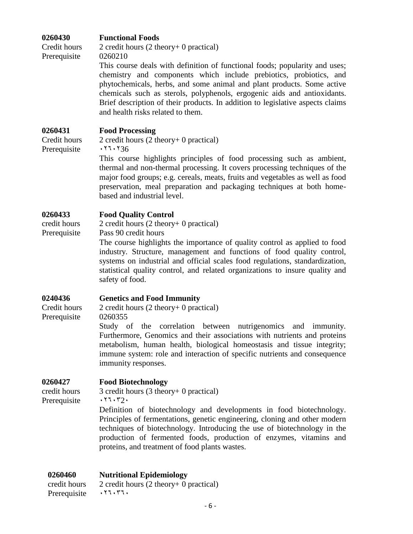#### **0260430 Functional Foods**

Credit hours Prerequisite 2 credit hours (2 theory+ 0 practical) 0260210

> This course deals with definition of functional foods; popularity and uses; chemistry and components which include prebiotics, probiotics, and phytochemicals, herbs, and some animal and plant products. Some active chemicals such as sterols, polyphenols, ergogenic aids and antioxidants. Brief description of their products. In addition to legislative aspects claims and health risks related to them.

#### **0260431 Food Processing**

Credit hours Prerequisite

2 credit hours (2 theory+ 0 practical)  $.77.736$ 

This course highlights principles of food processing such as ambient, thermal and non-thermal processing. It covers processing techniques of the major food groups; e.g. cereals, meats, fruits and vegetables as well as food preservation, meal preparation and packaging techniques at both homebased and industrial level.

#### **0260433 Food Quality Control**

credit hours 2 credit hours (2 theory+ 0 practical)

Prerequisite Pass 90 credit hours

The course highlights the importance of quality control as applied to food industry. Structure, management and functions of food quality control, systems on industrial and official scales food regulations, standardization, statistical quality control, and related organizations to insure quality and safety of food.

#### **0240436 Genetics and Food Immunity**

Credit hours Prerequisite

### 2 credit hours (2 theory+ 0 practical) 0260355

Study of the correlation between nutrigenomics and immunity. Furthermore, Genomics and their associations with nutrients and proteins metabolism, human health, biological homeostasis and tissue integrity; immune system: role and interaction of specific nutrients and consequence immunity responses.

### **0260427 Food Biotechnology**

Prerequisite  $\cdots$   $\cdots$   $\cdots$ 

# credit hours 3 credit hours (3 theory+ 0 practical)

Definition of biotechnology and developments in food biotechnology. Principles of fermentations, genetic engineering, cloning and other modern techniques of biotechnology. Introducing the use of biotechnology in the production of fermented foods, production of enzymes, vitamins and proteins, and treatment of food plants wastes.

### **0260460 Nutritional Epidemiology**

credit hours 2 credit hours (2 theory+ 0 practical) Prerequisite . TI. TI.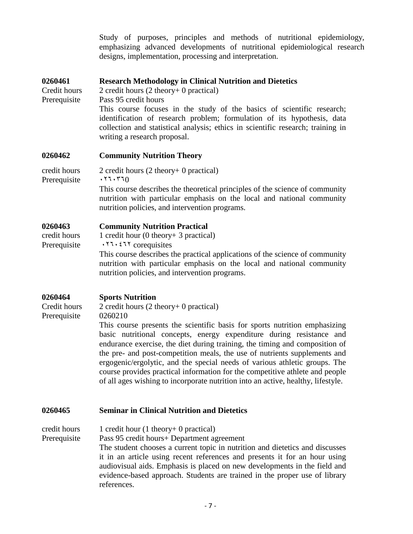Study of purposes, principles and methods of nutritional epidemiology, emphasizing advanced developments of nutritional epidemiological research designs, implementation, processing and interpretation.

#### **0260461 Research Methodology in Clinical Nutrition and Dietetics**

Credit hours 2 credit hours (2 theory+ 0 practical)

Prerequisite Pass 95 credit hours

This course focuses in the study of the basics of scientific research; identification of research problem; formulation of its hypothesis, data collection and statistical analysis; ethics in scientific research; training in writing a research proposal.

#### **0260462 Community Nutrition Theory**

| credit hours | 2 credit hours $(2 \text{ theory} + 0 \text{ practical})$                    |
|--------------|------------------------------------------------------------------------------|
| Prerequisite | .77.770                                                                      |
|              | This course describes the theoretical principles of the science of community |
|              | nutrition with particular emphasis on the local and national community       |
|              | nutrition policies, and intervention programs.                               |

#### **0260463 Community Nutrition Practical**

| credit hours | 1 credit hour $(0$ theory + 3 practical)                                     |
|--------------|------------------------------------------------------------------------------|
| Prerequisite | $\cdot$ 11.211 corequisites                                                  |
|              | This course describes the practical applications of the science of community |
|              | nutrition with particular emphasis on the local and national community       |

nutrition policies, and intervention programs.

#### **0260464 Sports Nutrition**

Credit hours Prerequisite

2 credit hours (2 theory+ 0 practical) 0260210

This course presents the scientific basis for sports nutrition emphasizing basic nutritional concepts, energy expenditure during resistance and endurance exercise, the diet during training, the timing and composition of the pre- and post-competition meals, the use of nutrients supplements and ergogenic/ergolytic, and the special needs of various athletic groups. The course provides practical information for the competitive athlete and people of all ages wishing to incorporate nutrition into an active, healthy, lifestyle.

#### **0260465 Seminar in Clinical Nutrition and Dietetics**

credit hours 1 credit hour  $(1$  theory + 0 practical)

Prerequisite Pass 95 credit hours+ Department agreement

The student chooses a current topic in nutrition and dietetics and discusses it in an article using recent references and presents it for an hour using audiovisual aids. Emphasis is placed on new developments in the field and evidence-based approach. Students are trained in the proper use of library references.